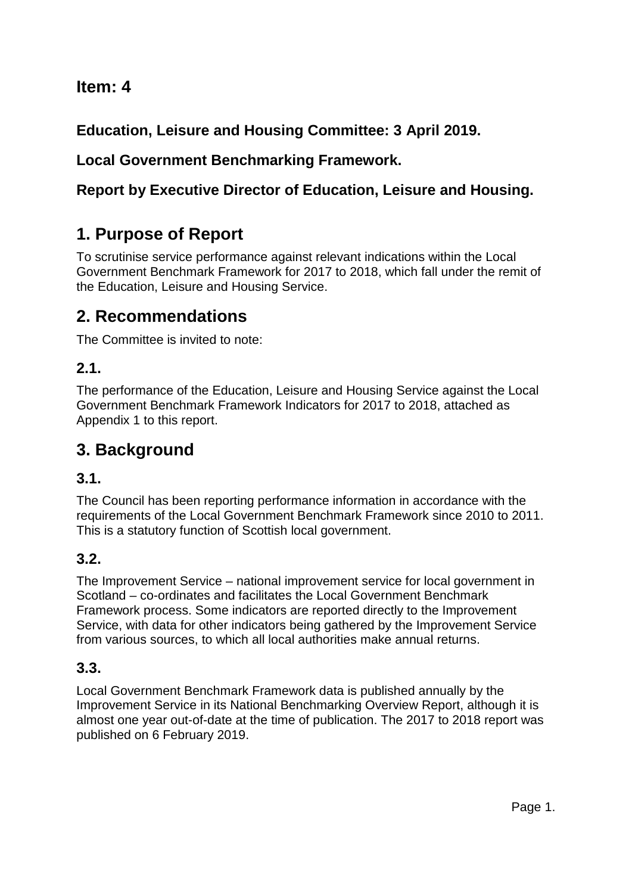## **Item: 4**

**Education, Leisure and Housing Committee: 3 April 2019.**

## **Local Government Benchmarking Framework.**

## **Report by Executive Director of Education, Leisure and Housing.**

# **1. Purpose of Report**

To scrutinise service performance against relevant indications within the Local Government Benchmark Framework for 2017 to 2018, which fall under the remit of the Education, Leisure and Housing Service.

# **2. Recommendations**

The Committee is invited to note:

## **2.1.**

The performance of the Education, Leisure and Housing Service against the Local Government Benchmark Framework Indicators for 2017 to 2018, attached as Appendix 1 to this report.

# **3. Background**

## **3.1.**

The Council has been reporting performance information in accordance with the requirements of the Local Government Benchmark Framework since 2010 to 2011. This is a statutory function of Scottish local government.

## **3.2.**

The Improvement Service – national improvement service for local government in Scotland – co-ordinates and facilitates the Local Government Benchmark Framework process. Some indicators are reported directly to the Improvement Service, with data for other indicators being gathered by the Improvement Service from various sources, to which all local authorities make annual returns.

## **3.3.**

Local Government Benchmark Framework data is published annually by the Improvement Service in its National Benchmarking Overview Report, although it is almost one year out-of-date at the time of publication. The 2017 to 2018 report was published on 6 February 2019.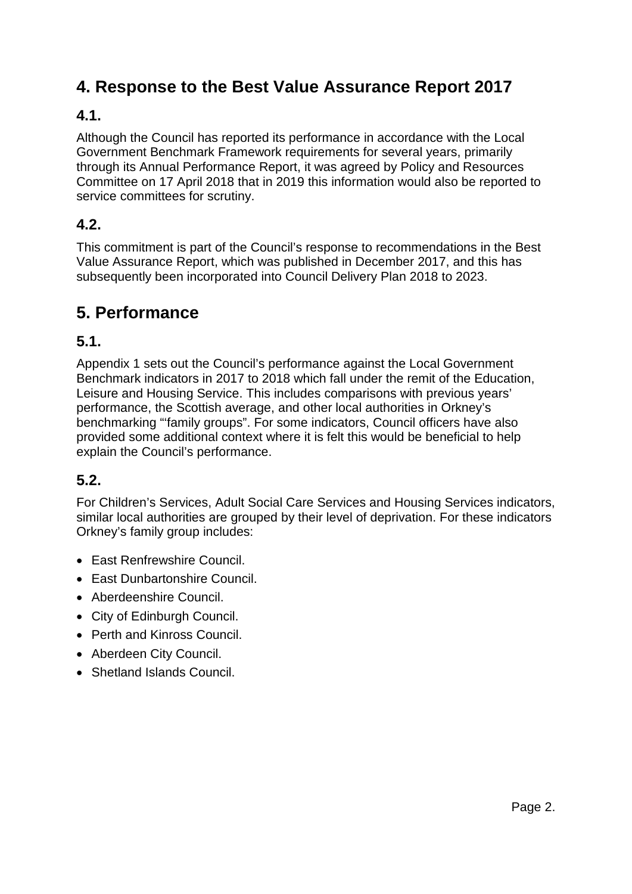# **4. Response to the Best Value Assurance Report 2017**

## **4.1.**

Although the Council has reported its performance in accordance with the Local Government Benchmark Framework requirements for several years, primarily through its Annual Performance Report, it was agreed by Policy and Resources Committee on 17 April 2018 that in 2019 this information would also be reported to service committees for scrutiny.

## **4.2.**

This commitment is part of the Council's response to recommendations in the Best Value Assurance Report, which was published in December 2017, and this has subsequently been incorporated into Council Delivery Plan 2018 to 2023.

# **5. Performance**

## **5.1.**

Appendix 1 sets out the Council's performance against the Local Government Benchmark indicators in 2017 to 2018 which fall under the remit of the Education, Leisure and Housing Service. This includes comparisons with previous years' performance, the Scottish average, and other local authorities in Orkney's benchmarking "'family groups". For some indicators, Council officers have also provided some additional context where it is felt this would be beneficial to help explain the Council's performance.

## **5.2.**

For Children's Services, Adult Social Care Services and Housing Services indicators, similar local authorities are grouped by their level of deprivation. For these indicators Orkney's family group includes:

- East Renfrewshire Council.
- East Dunbartonshire Council.
- Aberdeenshire Council.
- City of Edinburgh Council.
- Perth and Kinross Council.
- Aberdeen City Council.
- Shetland Islands Council.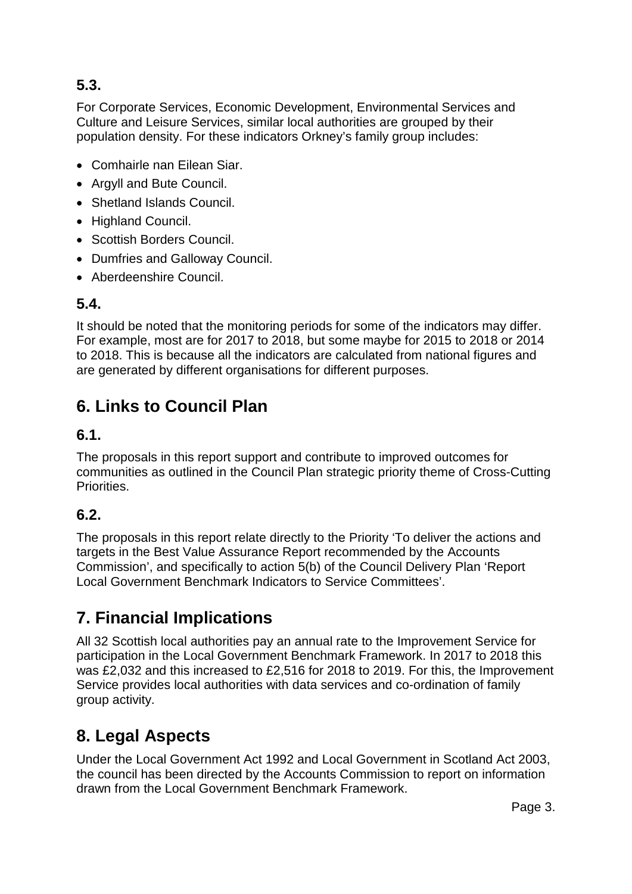## **5.3.**

For Corporate Services, Economic Development, Environmental Services and Culture and Leisure Services, similar local authorities are grouped by their population density. For these indicators Orkney's family group includes:

- Comhairle nan Eilean Siar.
- Argyll and Bute Council.
- Shetland Islands Council.
- Highland Council.
- Scottish Borders Council.
- Dumfries and Galloway Council.
- Aberdeenshire Council.

## **5.4.**

It should be noted that the monitoring periods for some of the indicators may differ. For example, most are for 2017 to 2018, but some maybe for 2015 to 2018 or 2014 to 2018. This is because all the indicators are calculated from national figures and are generated by different organisations for different purposes.

# **6. Links to Council Plan**

### **6.1.**

The proposals in this report support and contribute to improved outcomes for communities as outlined in the Council Plan strategic priority theme of Cross-Cutting Priorities.

## **6.2.**

The proposals in this report relate directly to the Priority 'To deliver the actions and targets in the Best Value Assurance Report recommended by the Accounts Commission', and specifically to action 5(b) of the Council Delivery Plan 'Report Local Government Benchmark Indicators to Service Committees'.

# **7. Financial Implications**

All 32 Scottish local authorities pay an annual rate to the Improvement Service for participation in the Local Government Benchmark Framework. In 2017 to 2018 this was £2,032 and this increased to £2,516 for 2018 to 2019. For this, the Improvement Service provides local authorities with data services and co-ordination of family group activity.

# **8. Legal Aspects**

Under the Local Government Act 1992 and Local Government in Scotland Act 2003, the council has been directed by the Accounts Commission to report on information drawn from the Local Government Benchmark Framework.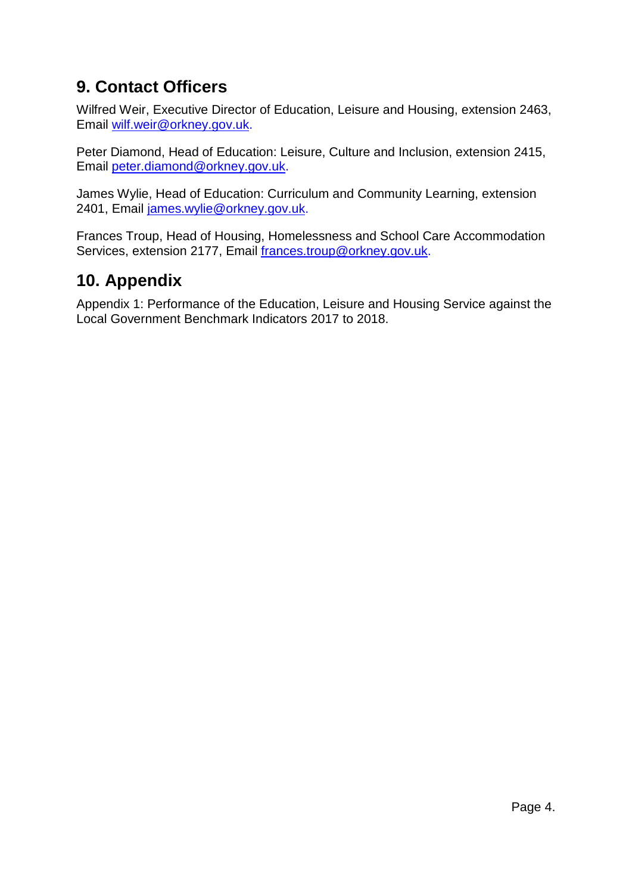# **9. Contact Officers**

Wilfred Weir, Executive Director of Education, Leisure and Housing, extension 2463, Email [wilf.weir@orkney.gov.uk.](mailto:wilf.weir@orkney.gov.uk)

Peter Diamond, Head of Education: Leisure, Culture and Inclusion, extension 2415, Email [peter.diamond@orkney.gov.uk.](mailto:peter.diamond@orkney.gov.uk)

James Wylie, Head of Education: Curriculum and Community Learning, extension 2401, Email [james.wylie@orkney.gov.uk.](mailto:james.wylie@orkney.gov.uk)

Frances Troup, Head of Housing, Homelessness and School Care Accommodation Services, extension 2177, Email [frances.troup@orkney.gov.uk.](mailto:frances.troup@orkney.gov.uk)

## **10. Appendix**

Appendix 1: Performance of the Education, Leisure and Housing Service against the Local Government Benchmark Indicators 2017 to 2018.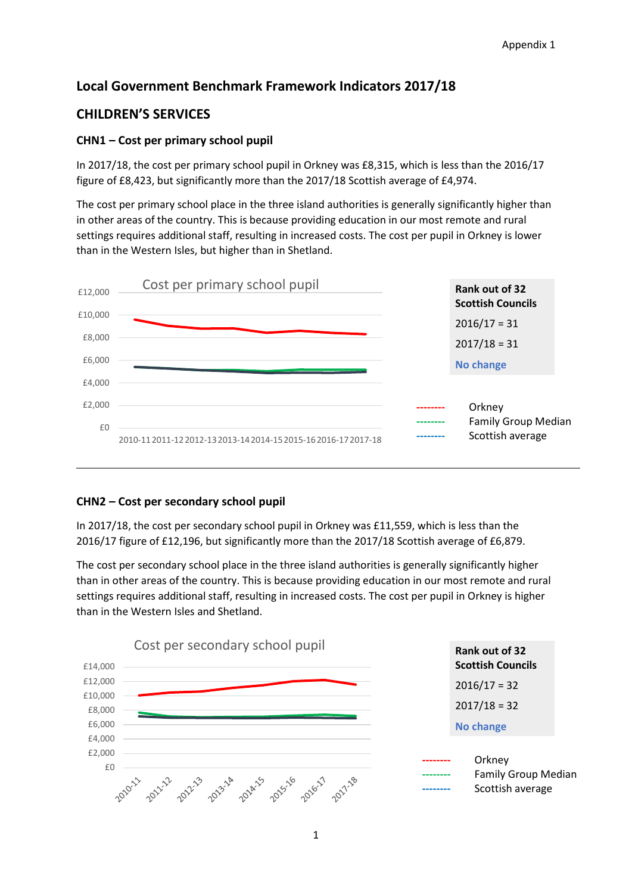### **Local Government Benchmark Framework Indicators 2017/18**

### **CHILDREN'S SERVICES**

### **CHN1 – Cost per primary school pupil**

In 2017/18, the cost per primary school pupil in Orkney was £8,315, which is less than the 2016/17 figure of £8,423, but significantly more than the 2017/18 Scottish average of £4,974.

The cost per primary school place in the three island authorities is generally significantly higher than in other areas of the country. This is because providing education in our most remote and rural settings requires additional staff, resulting in increased costs. The cost per pupil in Orkney is lower than in the Western Isles, but higher than in Shetland.



### **CHN2 – Cost per secondary school pupil**

In 2017/18, the cost per secondary school pupil in Orkney was £11,559, which is less than the 2016/17 figure of £12,196, but significantly more than the 2017/18 Scottish average of £6,879.

The cost per secondary school place in the three island authorities is generally significantly higher than in other areas of the country. This is because providing education in our most remote and rural settings requires additional staff, resulting in increased costs. The cost per pupil in Orkney is higher than in the Western Isles and Shetland.

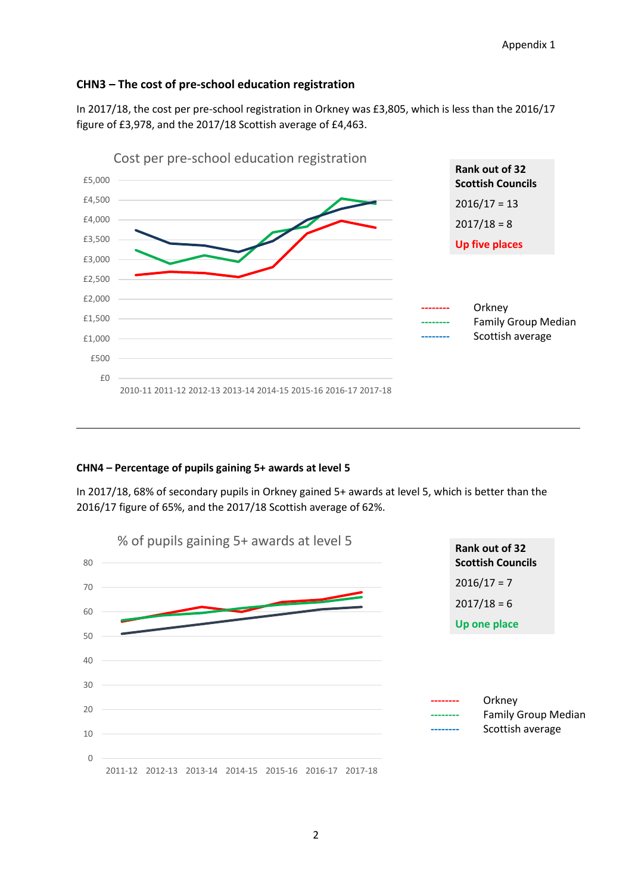#### **CHN3 – The cost of pre-school education registration**

In 2017/18, the cost per pre-school registration in Orkney was £3,805, which is less than the 2016/17 figure of £3,978, and the 2017/18 Scottish average of £4,463.



#### **CHN4 – Percentage of pupils gaining 5+ awards at level 5**

In 2017/18, 68% of secondary pupils in Orkney gained 5+ awards at level 5, which is better than the 2016/17 figure of 65%, and the 2017/18 Scottish average of 62%.

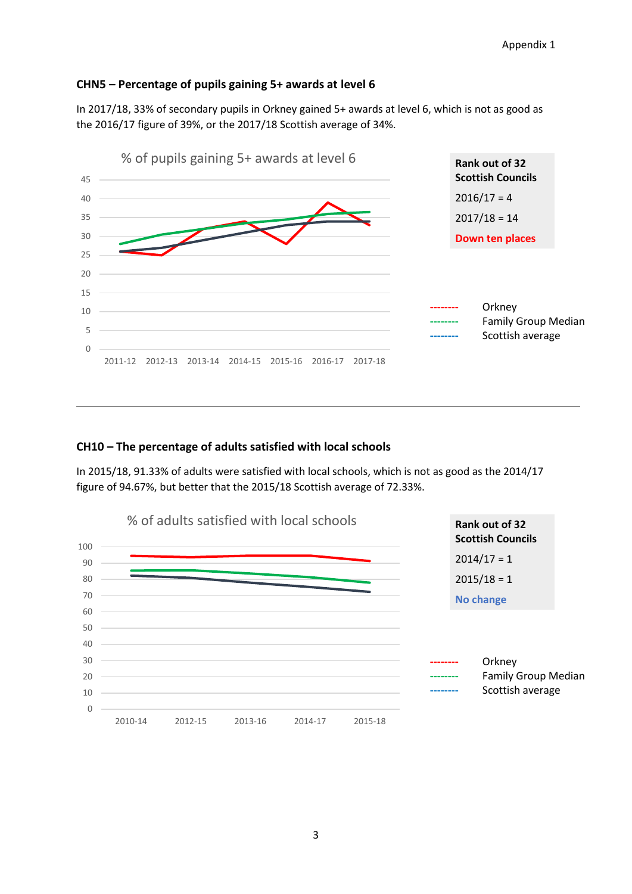#### **CHN5 – Percentage of pupils gaining 5+ awards at level 6**

In 2017/18, 33% of secondary pupils in Orkney gained 5+ awards at level 6, which is not as good as the 2016/17 figure of 39%, or the 2017/18 Scottish average of 34%.



#### **CH10 – The percentage of adults satisfied with local schools**

In 2015/18, 91.33% of adults were satisfied with local schools, which is not as good as the 2014/17 figure of 94.67%, but better that the 2015/18 Scottish average of 72.33%.

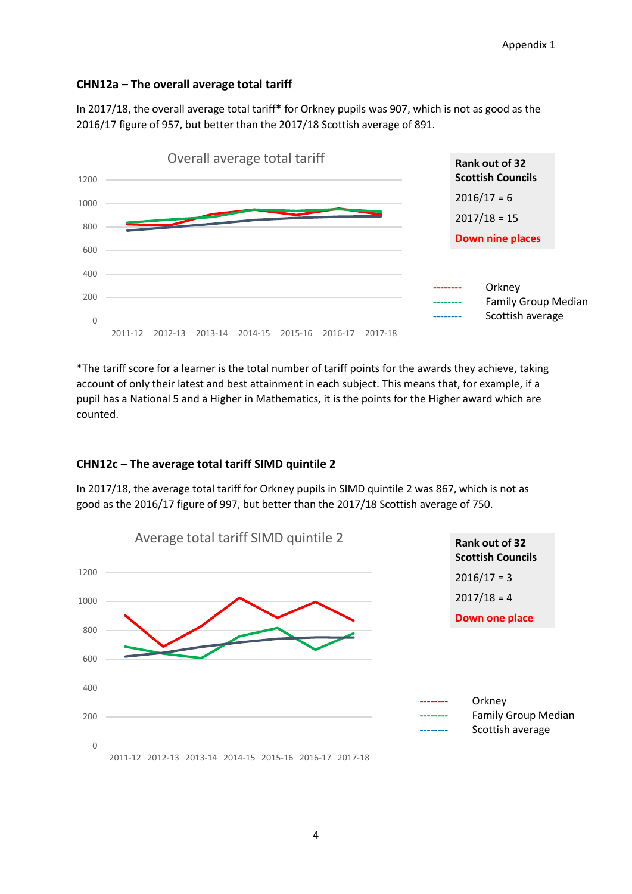#### **CHN12a – The overall average total tariff**

In 2017/18, the overall average total tariff\* for Orkney pupils was 907, which is not as good as the 2016/17 figure of 957, but better than the 2017/18 Scottish average of 891.



\*The tariff score for a learner is the total number of tariff points for the awards they achieve, taking account of only their latest and best attainment in each subject. This means that, for example, if a pupil has a National 5 and a Higher in Mathematics, it is the points for the Higher award which are counted.

#### **CHN12c – The average total tariff SIMD quintile 2**

In 2017/18, the average total tariff for Orkney pupils in SIMD quintile 2 was 867, which is not as good as the 2016/17 figure of 997, but better than the 2017/18 Scottish average of 750.

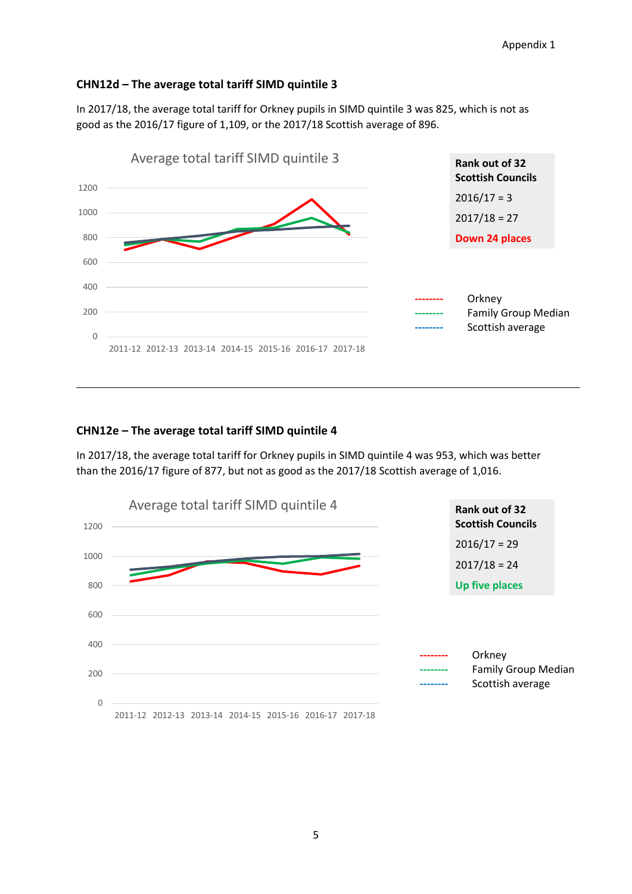#### **CHN12d – The average total tariff SIMD quintile 3**

In 2017/18, the average total tariff for Orkney pupils in SIMD quintile 3 was 825, which is not as good as the 2016/17 figure of 1,109, or the 2017/18 Scottish average of 896.



#### **CHN12e – The average total tariff SIMD quintile 4**

In 2017/18, the average total tariff for Orkney pupils in SIMD quintile 4 was 953, which was better than the 2016/17 figure of 877, but not as good as the 2017/18 Scottish average of 1,016.

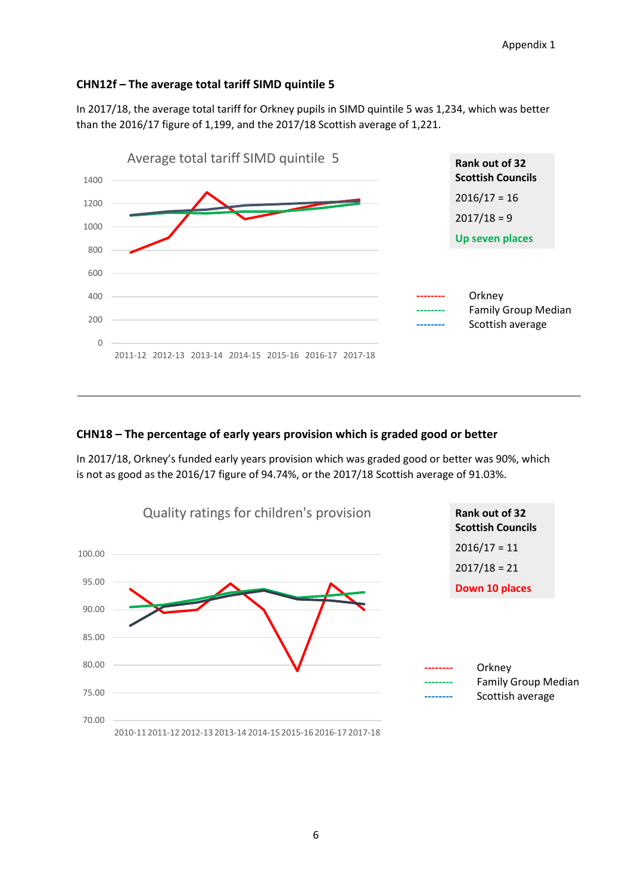#### **CHN12f – The average total tariff SIMD quintile 5**

In 2017/18, the average total tariff for Orkney pupils in SIMD quintile 5 was 1,234, which was better than the 2016/17 figure of 1,199, and the 2017/18 Scottish average of 1,221.



#### **CHN18 – The percentage of early years provision which is graded good or better**

In 2017/18, Orkney's funded early years provision which was graded good or better was 90%, which is not as good as the 2016/17 figure of 94.74%, or the 2017/18 Scottish average of 91.03%.

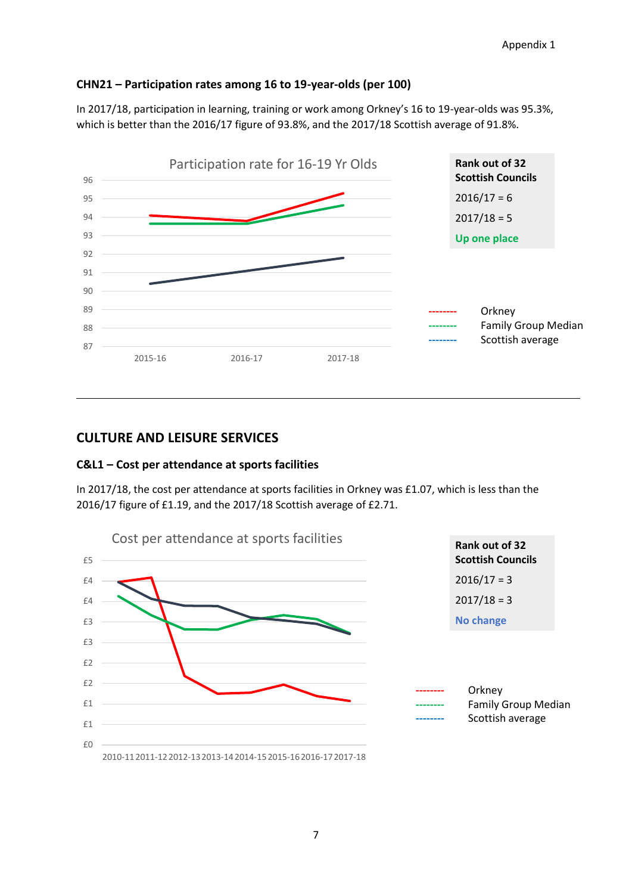#### **CHN21 – Participation rates among 16 to 19-year-olds (per 100)**

In 2017/18, participation in learning, training or work among Orkney's 16 to 19-year-olds was 95.3%, which is better than the 2016/17 figure of 93.8%, and the 2017/18 Scottish average of 91.8%.



### **CULTURE AND LEISURE SERVICES**

#### **C&L1 – Cost per attendance at sports facilities**

In 2017/18, the cost per attendance at sports facilities in Orkney was £1.07, which is less than the 2016/17 figure of £1.19, and the 2017/18 Scottish average of £2.71.

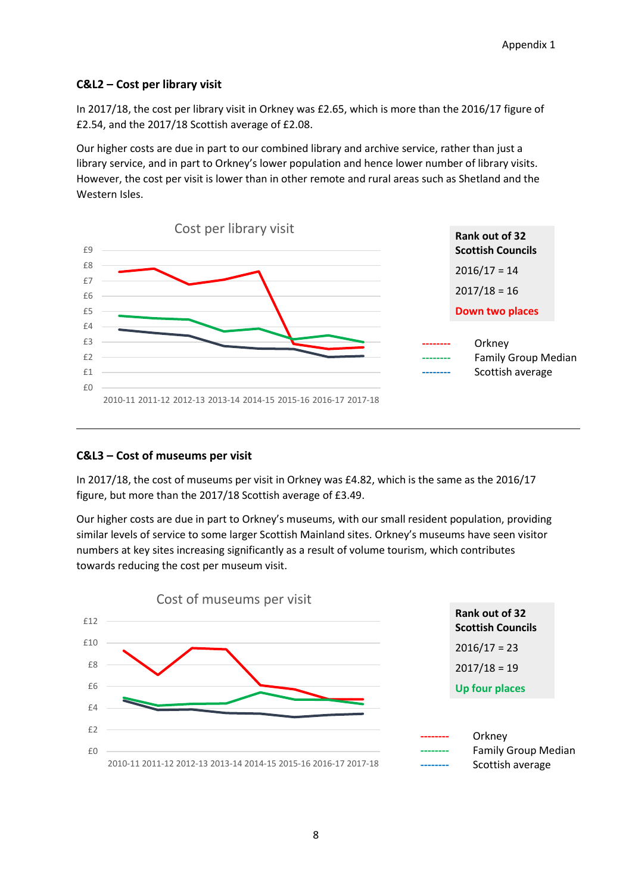#### **C&L2 – Cost per library visit**

In 2017/18, the cost per library visit in Orkney was £2.65, which is more than the 2016/17 figure of £2.54, and the 2017/18 Scottish average of £2.08.

Our higher costs are due in part to our combined library and archive service, rather than just a library service, and in part to Orkney's lower population and hence lower number of library visits. However, the cost per visit is lower than in other remote and rural areas such as Shetland and the Western Isles.



#### **C&L3 – Cost of museums per visit**

In 2017/18, the cost of museums per visit in Orkney was £4.82, which is the same as the 2016/17 figure, but more than the 2017/18 Scottish average of £3.49.

Our higher costs are due in part to Orkney's museums, with our small resident population, providing similar levels of service to some larger Scottish Mainland sites. Orkney's museums have seen visitor numbers at key sites increasing significantly as a result of volume tourism, which contributes towards reducing the cost per museum visit.

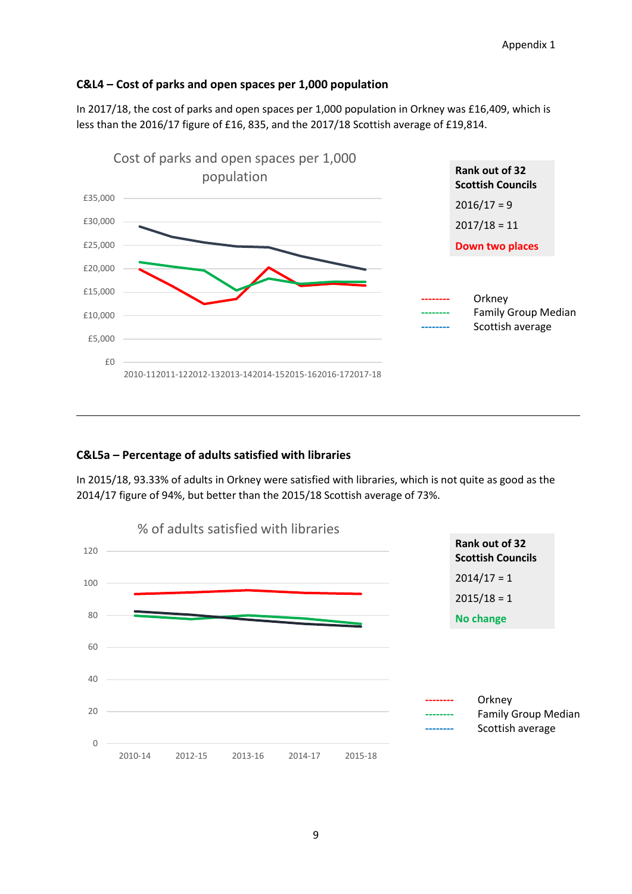#### **C&L4 – Cost of parks and open spaces per 1,000 population**

In 2017/18, the cost of parks and open spaces per 1,000 population in Orkney was £16,409, which is less than the 2016/17 figure of £16, 835, and the 2017/18 Scottish average of £19,814.



#### **C&L5a – Percentage of adults satisfied with libraries**

In 2015/18, 93.33% of adults in Orkney were satisfied with libraries, which is not quite as good as the 2014/17 figure of 94%, but better than the 2015/18 Scottish average of 73%.

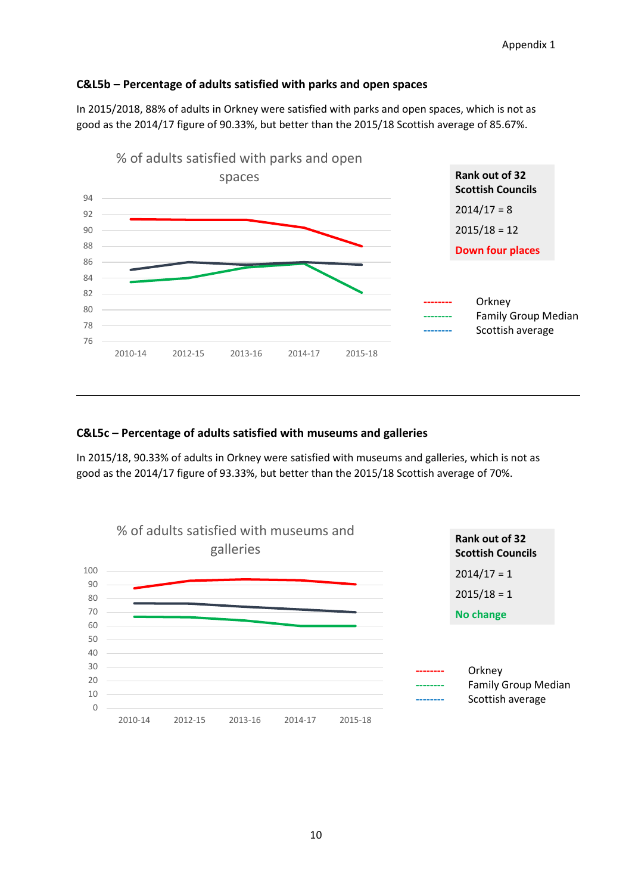#### **C&L5b – Percentage of adults satisfied with parks and open spaces**

In 2015/2018, 88% of adults in Orkney were satisfied with parks and open spaces, which is not as good as the 2014/17 figure of 90.33%, but better than the 2015/18 Scottish average of 85.67%.



#### **C&L5c – Percentage of adults satisfied with museums and galleries**

In 2015/18, 90.33% of adults in Orkney were satisfied with museums and galleries, which is not as good as the 2014/17 figure of 93.33%, but better than the 2015/18 Scottish average of 70%.

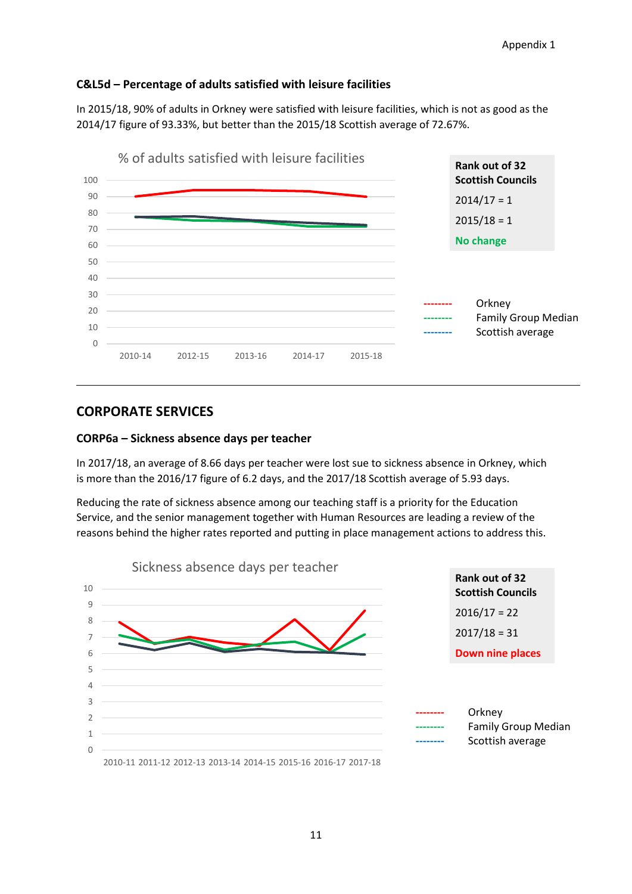#### **C&L5d – Percentage of adults satisfied with leisure facilities**

In 2015/18, 90% of adults in Orkney were satisfied with leisure facilities, which is not as good as the 2014/17 figure of 93.33%, but better than the 2015/18 Scottish average of 72.67%.



### **CORPORATE SERVICES**

#### **CORP6a – Sickness absence days per teacher**

In 2017/18, an average of 8.66 days per teacher were lost sue to sickness absence in Orkney, which is more than the 2016/17 figure of 6.2 days, and the 2017/18 Scottish average of 5.93 days.

Reducing the rate of sickness absence among our teaching staff is a priority for the Education Service, and the senior management together with Human Resources are leading a review of the reasons behind the higher rates reported and putting in place management actions to address this.

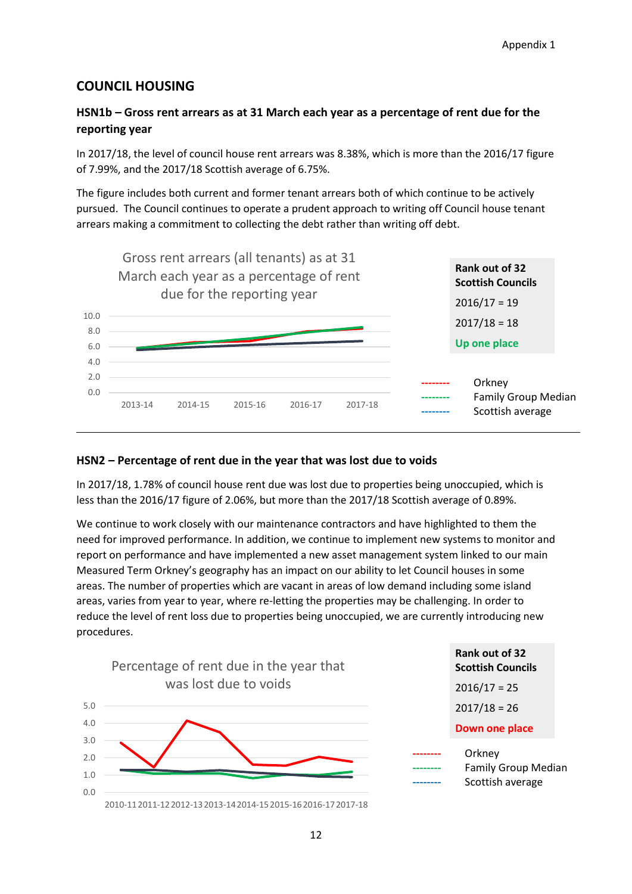### **COUNCIL HOUSING**

### **HSN1b – Gross rent arrears as at 31 March each year as a percentage of rent due for the reporting year**

In 2017/18, the level of council house rent arrears was 8.38%, which is more than the 2016/17 figure of 7.99%, and the 2017/18 Scottish average of 6.75%.

The figure includes both current and former tenant arrears both of which continue to be actively pursued. The Council continues to operate a prudent approach to writing off Council house tenant arrears making a commitment to collecting the debt rather than writing off debt.



#### **HSN2 – Percentage of rent due in the year that was lost due to voids**

In 2017/18, 1.78% of council house rent due was lost due to properties being unoccupied, which is less than the 2016/17 figure of 2.06%, but more than the 2017/18 Scottish average of 0.89%.

We continue to work closely with our maintenance contractors and have highlighted to them the need for improved performance. In addition, we continue to implement new systems to monitor and report on performance and have implemented a new asset management system linked to our main Measured Term Orkney's geography has an impact on our ability to let Council houses in some areas. The number of properties which are vacant in areas of low demand including some island areas, varies from year to year, where re-letting the properties may be challenging. In order to reduce the level of rent loss due to properties being unoccupied, we are currently introducing new procedures.

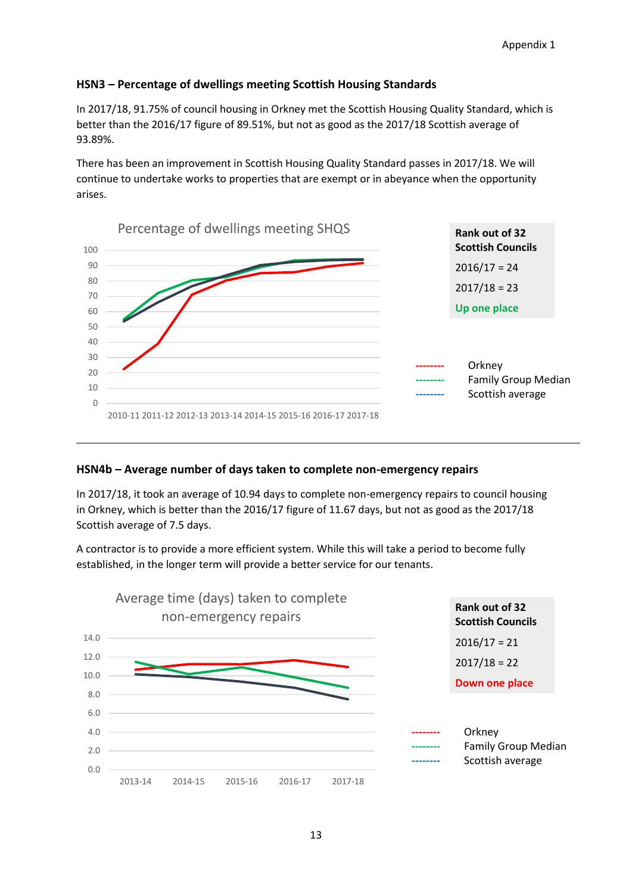#### **HSN3 – Percentage of dwellings meeting Scottish Housing Standards**

In 2017/18, 91.75% of council housing in Orkney met the Scottish Housing Quality Standard, which is better than the 2016/17 figure of 89.51%, but not as good as the 2017/18 Scottish average of 93.89%.

There has been an improvement in Scottish Housing Quality Standard passes in 2017/18. We will continue to undertake works to properties that are exempt or in abeyance when the opportunity arises.



#### **HSN4b – Average number of days taken to complete non-emergency repairs**

In 2017/18, it took an average of 10.94 days to complete non-emergency repairs to council housing in Orkney, which is better than the 2016/17 figure of 11.67 days, but not as good as the 2017/18 Scottish average of 7.5 days.

A contractor is to provide a more efficient system. While this will take a period to become fully established, in the longer term will provide a better service for our tenants.